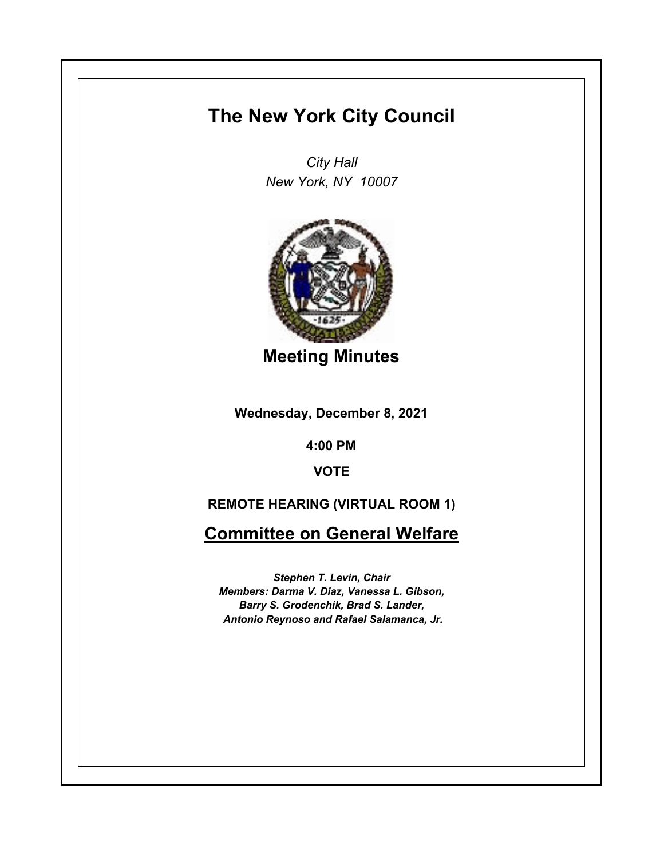# **The New York City Council**

*City Hall New York, NY 10007*



**Meeting Minutes**

**Wednesday, December 8, 2021**

**4:00 PM**

**VOTE**

# **REMOTE HEARING (VIRTUAL ROOM 1)**

**Committee on General Welfare**

*Stephen T. Levin, Chair Members: Darma V. Diaz, Vanessa L. Gibson, Barry S. Grodenchik, Brad S. Lander, Antonio Reynoso and Rafael Salamanca, Jr.*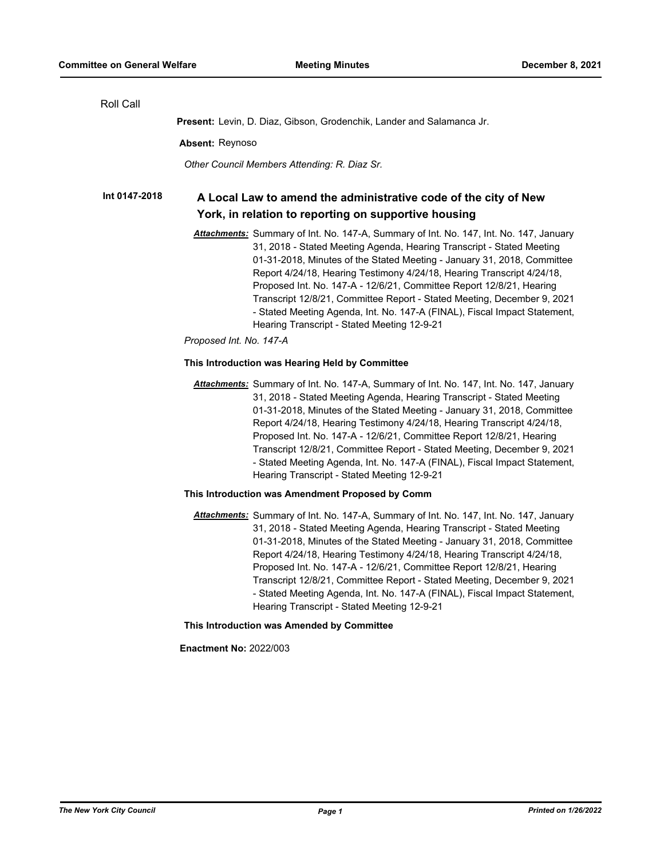| Roll Call     |                                                                                                                                                                                                                                                                                                                                                                                                                                                                                                                                                                                                     |
|---------------|-----------------------------------------------------------------------------------------------------------------------------------------------------------------------------------------------------------------------------------------------------------------------------------------------------------------------------------------------------------------------------------------------------------------------------------------------------------------------------------------------------------------------------------------------------------------------------------------------------|
|               | <b>Present:</b> Levin, D. Diaz, Gibson, Grodenchik, Lander and Salamanca Jr.                                                                                                                                                                                                                                                                                                                                                                                                                                                                                                                        |
|               | Absent: Reynoso                                                                                                                                                                                                                                                                                                                                                                                                                                                                                                                                                                                     |
|               | Other Council Members Attending: R. Diaz Sr.                                                                                                                                                                                                                                                                                                                                                                                                                                                                                                                                                        |
| Int 0147-2018 | A Local Law to amend the administrative code of the city of New                                                                                                                                                                                                                                                                                                                                                                                                                                                                                                                                     |
|               | York, in relation to reporting on supportive housing                                                                                                                                                                                                                                                                                                                                                                                                                                                                                                                                                |
|               | Attachments: Summary of Int. No. 147-A, Summary of Int. No. 147, Int. No. 147, January<br>31, 2018 - Stated Meeting Agenda, Hearing Transcript - Stated Meeting<br>01-31-2018, Minutes of the Stated Meeting - January 31, 2018, Committee<br>Report 4/24/18, Hearing Testimony 4/24/18, Hearing Transcript 4/24/18,<br>Proposed Int. No. 147-A - 12/6/21, Committee Report 12/8/21, Hearing<br>Transcript 12/8/21, Committee Report - Stated Meeting, December 9, 2021<br>- Stated Meeting Agenda, Int. No. 147-A (FINAL), Fiscal Impact Statement,<br>Hearing Transcript - Stated Meeting 12-9-21 |
|               | Proposed Int. No. 147-A                                                                                                                                                                                                                                                                                                                                                                                                                                                                                                                                                                             |
|               | This Introduction was Hearing Held by Committee                                                                                                                                                                                                                                                                                                                                                                                                                                                                                                                                                     |
|               | Attachments: Summary of Int. No. 147-A, Summary of Int. No. 147, Int. No. 147, January<br>31, 2018 - Stated Meeting Agenda, Hearing Transcript - Stated Meeting<br>01-31-2018, Minutes of the Stated Meeting - January 31, 2018, Committee<br>Report 4/24/18, Hearing Testimony 4/24/18, Hearing Transcript 4/24/18,<br>Proposed Int. No. 147-A - 12/6/21, Committee Report 12/8/21, Hearing<br>Transcript 12/8/21, Committee Report - Stated Meeting, December 9, 2021<br>- Stated Meeting Agenda, Int. No. 147-A (FINAL), Fiscal Impact Statement,<br>Hearing Transcript - Stated Meeting 12-9-21 |
|               | This Introduction was Amendment Proposed by Comm                                                                                                                                                                                                                                                                                                                                                                                                                                                                                                                                                    |
|               | Attachments: Summary of Int. No. 147-A, Summary of Int. No. 147, Int. No. 147, January<br>31, 2018 - Stated Meeting Agenda, Hearing Transcript - Stated Meeting<br>01-31-2018, Minutes of the Stated Meeting - January 31, 2018, Committee<br>Report 4/24/18, Hearing Testimony 4/24/18, Hearing Transcript 4/24/18,<br>Proposed Int. No. 147-A - 12/6/21, Committee Report 12/8/21, Hearing<br>Transcript 12/8/21, Committee Report - Stated Meeting, December 9, 2021<br>- Stated Meeting Agenda, Int. No. 147-A (FINAL), Fiscal Impact Statement,<br>Hearing Transcript - Stated Meeting 12-9-21 |
|               | This Introduction was Amended by Committee                                                                                                                                                                                                                                                                                                                                                                                                                                                                                                                                                          |
|               | <b>Enactment No: 2022/003</b>                                                                                                                                                                                                                                                                                                                                                                                                                                                                                                                                                                       |
|               |                                                                                                                                                                                                                                                                                                                                                                                                                                                                                                                                                                                                     |
|               |                                                                                                                                                                                                                                                                                                                                                                                                                                                                                                                                                                                                     |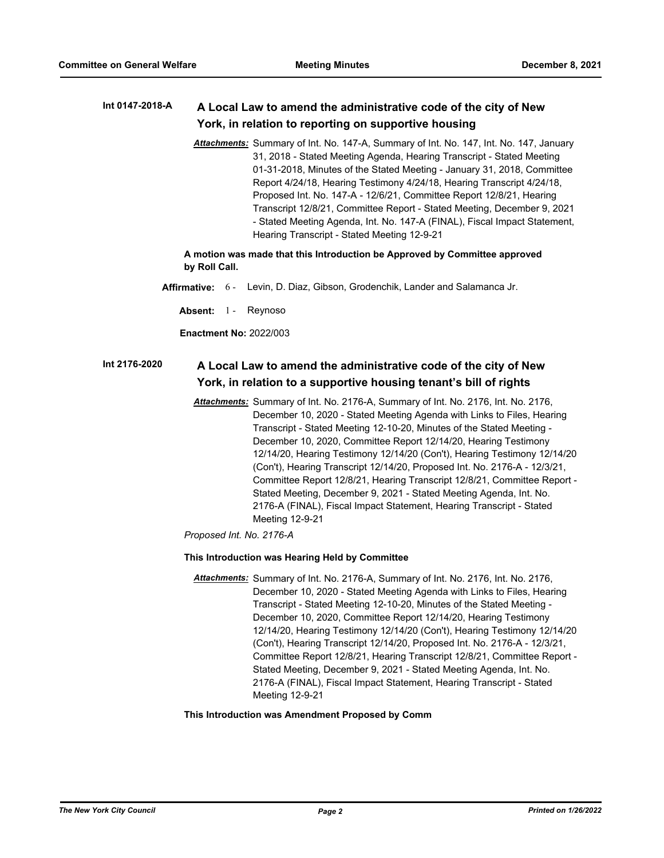#### **A Local Law to amend the administrative code of the city of New York, in relation to reporting on supportive housing Int 0147-2018-A**

*Attachments:* Summary of Int. No. 147-A, Summary of Int. No. 147, Int. No. 147, January 31, 2018 - Stated Meeting Agenda, Hearing Transcript - Stated Meeting 01-31-2018, Minutes of the Stated Meeting - January 31, 2018, Committee Report 4/24/18, Hearing Testimony 4/24/18, Hearing Transcript 4/24/18, Proposed Int. No. 147-A - 12/6/21, Committee Report 12/8/21, Hearing Transcript 12/8/21, Committee Report - Stated Meeting, December 9, 2021 - Stated Meeting Agenda, Int. No. 147-A (FINAL), Fiscal Impact Statement, Hearing Transcript - Stated Meeting 12-9-21

## **A motion was made that this Introduction be Approved by Committee approved by Roll Call.**

- **Affirmative:** 6 Levin, D. Diaz, Gibson, Grodenchik, Lander and Salamanca Jr.
	- Absent: 1 Reynoso

**Enactment No:** 2022/003

#### **A Local Law to amend the administrative code of the city of New York, in relation to a supportive housing tenant's bill of rights Int 2176-2020**

*Attachments:* Summary of Int. No. 2176-A, Summary of Int. No. 2176, Int. No. 2176, December 10, 2020 - Stated Meeting Agenda with Links to Files, Hearing Transcript - Stated Meeting 12-10-20, Minutes of the Stated Meeting - December 10, 2020, Committee Report 12/14/20, Hearing Testimony 12/14/20, Hearing Testimony 12/14/20 (Con't), Hearing Testimony 12/14/20 (Con't), Hearing Transcript 12/14/20, Proposed Int. No. 2176-A - 12/3/21, Committee Report 12/8/21, Hearing Transcript 12/8/21, Committee Report - Stated Meeting, December 9, 2021 - Stated Meeting Agenda, Int. No. 2176-A (FINAL), Fiscal Impact Statement, Hearing Transcript - Stated Meeting 12-9-21

*Proposed Int. No. 2176-A*

### **This Introduction was Hearing Held by Committee**

*Attachments:* Summary of Int. No. 2176-A, Summary of Int. No. 2176, Int. No. 2176, December 10, 2020 - Stated Meeting Agenda with Links to Files, Hearing Transcript - Stated Meeting 12-10-20, Minutes of the Stated Meeting - December 10, 2020, Committee Report 12/14/20, Hearing Testimony 12/14/20, Hearing Testimony 12/14/20 (Con't), Hearing Testimony 12/14/20 (Con't), Hearing Transcript 12/14/20, Proposed Int. No. 2176-A - 12/3/21, Committee Report 12/8/21, Hearing Transcript 12/8/21, Committee Report - Stated Meeting, December 9, 2021 - Stated Meeting Agenda, Int. No. 2176-A (FINAL), Fiscal Impact Statement, Hearing Transcript - Stated Meeting 12-9-21

#### **This Introduction was Amendment Proposed by Comm**